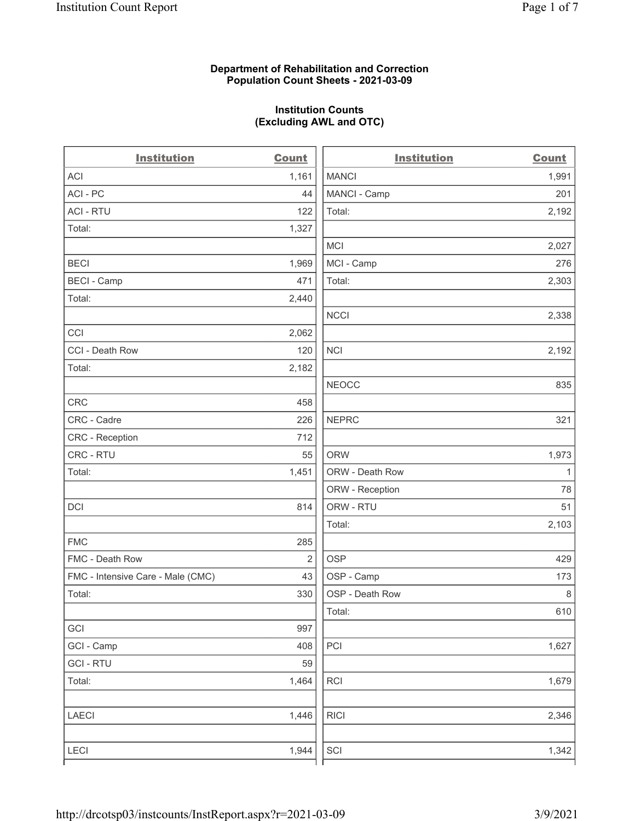# Department of Rehabilitation and Correction Population Count Sheets - 2021-03-09

# Institution Counts (Excluding AWL and OTC)

. .

| <b>Institution</b>                | <b>Count</b>   | <b>Institution</b> | <b>Count</b> |
|-----------------------------------|----------------|--------------------|--------------|
| <b>ACI</b>                        | 1,161          | <b>MANCI</b>       | 1,991        |
| ACI-PC                            | 44             | MANCI - Camp       | 201          |
| <b>ACI - RTU</b>                  | 122            | Total:             | 2,192        |
| Total:                            | 1,327          |                    |              |
|                                   |                | MCI                | 2,027        |
| <b>BECI</b>                       | 1,969          | MCI - Camp         | 276          |
| <b>BECI - Camp</b>                | 471            | Total:             | 2,303        |
| Total:                            | 2,440          |                    |              |
|                                   |                | <b>NCCI</b>        | 2,338        |
| CCI                               | 2,062          |                    |              |
| CCI - Death Row                   | 120            | <b>NCI</b>         | 2,192        |
| Total:                            | 2,182          |                    |              |
|                                   |                | <b>NEOCC</b>       | 835          |
| <b>CRC</b>                        | 458            |                    |              |
| CRC - Cadre                       | 226            | <b>NEPRC</b>       | 321          |
| <b>CRC</b> - Reception            | 712            |                    |              |
| CRC - RTU                         | 55             | <b>ORW</b>         | 1,973        |
| Total:                            | 1,451          | ORW - Death Row    | $\mathbf{1}$ |
|                                   |                | ORW - Reception    | 78           |
| DCI                               | 814            | ORW - RTU          | 51           |
|                                   |                | Total:             | 2,103        |
| <b>FMC</b>                        | 285            |                    |              |
| FMC - Death Row                   | $\overline{2}$ | <b>OSP</b>         | 429          |
| FMC - Intensive Care - Male (CMC) | 43             | OSP - Camp         | 173          |
| Total:                            | 330            | OSP - Death Row    | 8            |
|                                   |                | Total:             | 610          |
| GCI                               | 997            |                    |              |
| GCI - Camp                        | 408            | $\mathsf{PCI}$     | 1,627        |
| <b>GCI - RTU</b>                  | 59             |                    |              |
| Total:                            | 1,464          | RCI                | 1,679        |
| <b>LAECI</b>                      | 1,446          | <b>RICI</b>        | 2,346        |
| <b>LECI</b>                       | 1,944          | SCI                | 1,342        |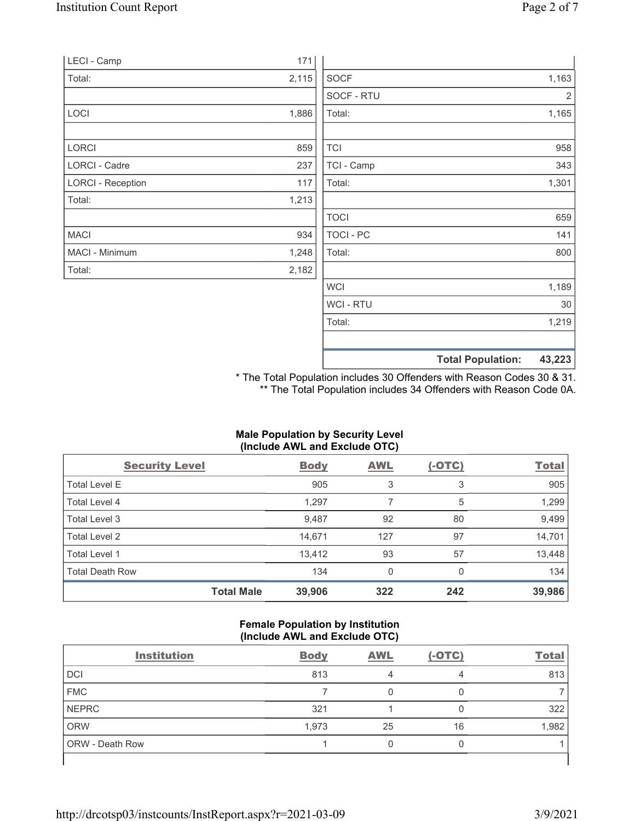|                          |       |             | <b>Total Population:</b> | 43,223 |
|--------------------------|-------|-------------|--------------------------|--------|
|                          |       |             |                          |        |
|                          |       | Total:      |                          | 1,219  |
|                          |       | WCI - RTU   |                          | $30\,$ |
|                          |       | <b>WCI</b>  |                          | 1,189  |
| Total:                   | 2,182 |             |                          |        |
| MACI - Minimum           | 1,248 | Total:      |                          | 800    |
| <b>MACI</b>              | 934   | TOCI - PC   |                          | 141    |
|                          |       | <b>TOCI</b> |                          | 659    |
| Total:                   | 1,213 |             |                          |        |
| <b>LORCI - Reception</b> | 117   | Total:      |                          | 1,301  |
| <b>LORCI - Cadre</b>     | 237   | TCI - Camp  |                          | 343    |
| LORCI                    | 859   | <b>TCI</b>  |                          | 958    |
|                          |       |             |                          |        |
| LOCI                     | 1,886 | Total:      |                          | 1,165  |
|                          |       | SOCF - RTU  |                          | 2      |
| Total:                   | 2,115 | <b>SOCF</b> |                          | 1,163  |
| LECI - Camp              | 171   |             |                          |        |

\* The Total Population includes 30 Offenders with Reason Codes 30 & 31. \*\* The Total Population includes 34 Offenders with Reason Code 0A.

# Male Population by Security Level (Include AWL and Exclude OTC)

| <b>Security Level</b>  |                   | <b>Body</b> | <b>AWL</b> | $(-OTC)$ | <b>Total</b> |
|------------------------|-------------------|-------------|------------|----------|--------------|
| <b>Total Level E</b>   |                   | 905         | 3          | 3        | 905          |
| Total Level 4          |                   | 1,297       |            | 5        | 1,299        |
| Total Level 3          |                   | 9,487       | 92         | 80       | 9,499        |
| Total Level 2          |                   | 14,671      | 127        | 97       | 14,701       |
| Total Level 1          |                   | 13,412      | 93         | 57       | 13,448       |
| <b>Total Death Row</b> |                   | 134         | 0          | 0        | 134          |
|                        | <b>Total Male</b> | 39,906      | 322        | 242      | 39,986       |

#### Female Population by Institution (Include AWL and Exclude OTC)

| <b>Institution</b>     | <b>Body</b> | <b>AWL</b> | $(-OTC)$ | <b>Total</b> |
|------------------------|-------------|------------|----------|--------------|
| <b>DCI</b>             | 813         |            | 4        | 813          |
| <b>FMC</b>             |             |            |          |              |
| <b>NEPRC</b>           | 321         |            |          | 322          |
| ORW                    | 1,973       | 25         | 16       | 1,982        |
| <b>ORW</b> - Death Row |             |            |          |              |
|                        |             |            |          |              |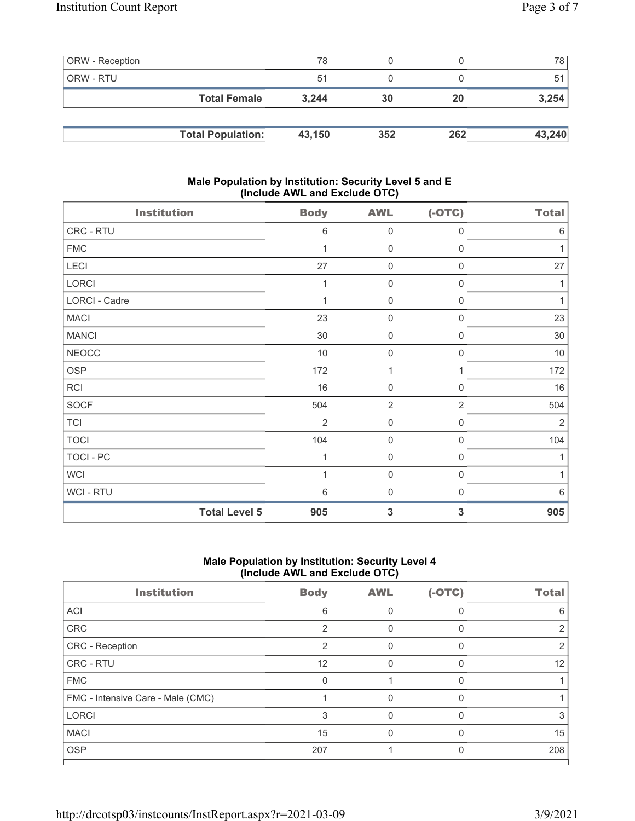| <b>ORW</b> - Reception |                          | 78     |     |     | 78 I   |
|------------------------|--------------------------|--------|-----|-----|--------|
| ORW - RTU              |                          | 51     |     |     | 51     |
|                        | <b>Total Female</b>      | 3.244  | 30  | 20  | 3,254  |
|                        |                          |        |     |     |        |
|                        | <b>Total Population:</b> | 43,150 | 352 | 262 | 43,240 |

# Male Population by Institution: Security Level 5 and E (Include AWL and Exclude OTC)

| <b>Institution</b> |                      | <b>Body</b>    | <b>AWL</b>          | $(-OTC)$            | <b>Total</b>   |
|--------------------|----------------------|----------------|---------------------|---------------------|----------------|
| CRC - RTU          |                      | 6              | $\mathsf{O}\xspace$ | 0                   | $6\,$          |
| <b>FMC</b>         |                      |                | $\mathbf 0$         | 0                   | 1              |
| LECI               |                      | 27             | $\mathbf 0$         | 0                   | 27             |
| LORCI              |                      |                | $\mathsf{O}\xspace$ | 0                   | 1              |
| LORCI - Cadre      |                      | 1              | $\mathbf 0$         | $\boldsymbol{0}$    | $\mathbf{1}$   |
| <b>MACI</b>        |                      | 23             | $\mathsf 0$         | $\boldsymbol{0}$    | 23             |
| <b>MANCI</b>       |                      | 30             | $\mathbf 0$         | $\boldsymbol{0}$    | 30             |
| <b>NEOCC</b>       |                      | 10             | $\mathbf 0$         | $\boldsymbol{0}$    | 10             |
| <b>OSP</b>         |                      | 172            | 1                   | 1                   | 172            |
| RCI                |                      | 16             | $\mathsf{O}\xspace$ | $\boldsymbol{0}$    | 16             |
| <b>SOCF</b>        |                      | 504            | $\overline{2}$      | $\overline{2}$      | 504            |
| <b>TCI</b>         |                      | $\overline{2}$ | $\mathsf{O}\xspace$ | $\mathsf{O}\xspace$ | $\overline{2}$ |
| <b>TOCI</b>        |                      | 104            | $\mathsf{O}\xspace$ | $\mathbf 0$         | 104            |
| <b>TOCI - PC</b>   |                      | 1              | $\mathsf{O}\xspace$ | $\mathbf 0$         | 1              |
| <b>WCI</b>         |                      | 1              | $\mathsf{O}\xspace$ | 0                   | 1              |
| WCI-RTU            |                      | 6              | $\mathbf 0$         | $\mathbf 0$         | $6\,$          |
|                    | <b>Total Level 5</b> | 905            | $\mathbf{3}$        | 3                   | 905            |

# Male Population by Institution: Security Level 4 (Include AWL and Exclude OTC)

| <b>Institution</b>                | <b>Body</b>   | <b>AWL</b> | $(-OTC)$ | <b>Total</b> |
|-----------------------------------|---------------|------------|----------|--------------|
| ACI                               | 6             |            | O        | 6            |
| CRC                               | $\mathcal{P}$ |            |          |              |
| CRC - Reception                   | $\mathcal{P}$ | U          | O        |              |
| CRC - RTU                         | 12            |            |          | 12           |
| <b>FMC</b>                        | $\Omega$      |            | U        |              |
| FMC - Intensive Care - Male (CMC) |               |            |          |              |
| <b>LORCI</b>                      | 3             |            | U        |              |
| <b>MACI</b>                       | 15            |            |          | 15           |
| <b>OSP</b>                        | 207           |            |          | 208          |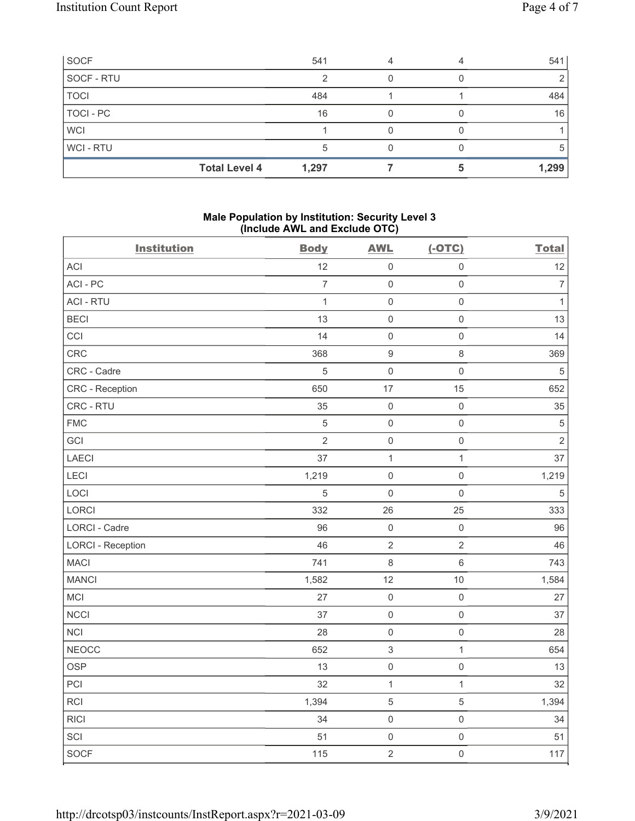| SOCF        | 541                           |  | 541   |
|-------------|-------------------------------|--|-------|
| SOCF - RTU  |                               |  |       |
| <b>TOCI</b> | 484                           |  | 484   |
| TOCI - PC   | 16                            |  | 16    |
| <b>WCI</b>  |                               |  |       |
| WCI-RTU     |                               |  | G     |
|             | <b>Total Level 4</b><br>1,297 |  | 1,299 |

# Male Population by Institution: Security Level 3 (Include AWL and Exclude OTC)

| <b>Institution</b>       | <b>Body</b>    | <b>AWL</b>                | $(-OTC)$            | <b>Total</b>     |
|--------------------------|----------------|---------------------------|---------------------|------------------|
| ACI                      | 12             | $\mathsf 0$               | $\mathsf 0$         | 12               |
| ACI - PC                 | $\overline{7}$ | $\mathsf{O}\xspace$       | $\mathsf{O}\xspace$ | $\boldsymbol{7}$ |
| <b>ACI - RTU</b>         | $\mathbf{1}$   | $\mathsf 0$               | $\mathsf{O}\xspace$ | $\mathbf{1}$     |
| <b>BECI</b>              | 13             | $\mathbf 0$               | $\mathsf{O}\xspace$ | 13               |
| CCI                      | 14             | $\mathbf 0$               | $\mathsf{O}\xspace$ | 14               |
| CRC                      | 368            | $\boldsymbol{9}$          | $\,8\,$             | 369              |
| CRC - Cadre              | $\mathbf 5$    | $\mathbf 0$               | $\mathsf{O}\xspace$ | $\,$ 5 $\,$      |
| CRC - Reception          | 650            | 17                        | 15                  | 652              |
| CRC - RTU                | 35             | $\mathbf 0$               | $\mathsf 0$         | 35               |
| <b>FMC</b>               | $\sqrt{5}$     | $\mathbf 0$               | $\mathsf{O}\xspace$ | $\mathbf 5$      |
| GCI                      | $\sqrt{2}$     | $\mathbf 0$               | $\mathsf{O}\xspace$ | $\overline{2}$   |
| LAECI                    | 37             | $\mathbf{1}$              | $\mathbf{1}$        | 37               |
| LECI                     | 1,219          | $\mathbf 0$               | $\mathsf{O}\xspace$ | 1,219            |
| LOCI                     | 5              | $\mathbf 0$               | $\mathsf{O}\xspace$ | $\sqrt{5}$       |
| LORCI                    | 332            | 26                        | 25                  | 333              |
| LORCI - Cadre            | 96             | $\mathbf 0$               | $\mathsf{O}\xspace$ | 96               |
| <b>LORCI - Reception</b> | 46             | $\sqrt{2}$                | $\overline{2}$      | 46               |
| <b>MACI</b>              | 741            | $\,8\,$                   | $\,6\,$             | 743              |
| <b>MANCI</b>             | 1,582          | 12                        | 10                  | 1,584            |
| MCI                      | 27             | $\mathbf 0$               | $\mathsf{O}\xspace$ | 27               |
| <b>NCCI</b>              | 37             | $\mathbf 0$               | $\mathsf 0$         | 37               |
| <b>NCI</b>               | 28             | $\mathbf 0$               | $\mathsf 0$         | 28               |
| <b>NEOCC</b>             | 652            | $\ensuremath{\mathsf{3}}$ | $\mathbf{1}$        | 654              |
| <b>OSP</b>               | 13             | $\mathsf 0$               | $\mathsf 0$         | 13               |
| PCI                      | 32             | $\mathbf{1}$              | $\mathbf{1}$        | 32               |
| <b>RCI</b>               | 1,394          | $\sqrt{5}$                | $\sqrt{5}$          | 1,394            |
| <b>RICI</b>              | 34             | $\mathsf 0$               | $\mathsf 0$         | 34               |
| SCI                      | 51             | $\mathsf 0$               | $\mathsf 0$         | 51               |
| SOCF                     | 115            | $\overline{2}$            | $\mathbf 0$         | 117              |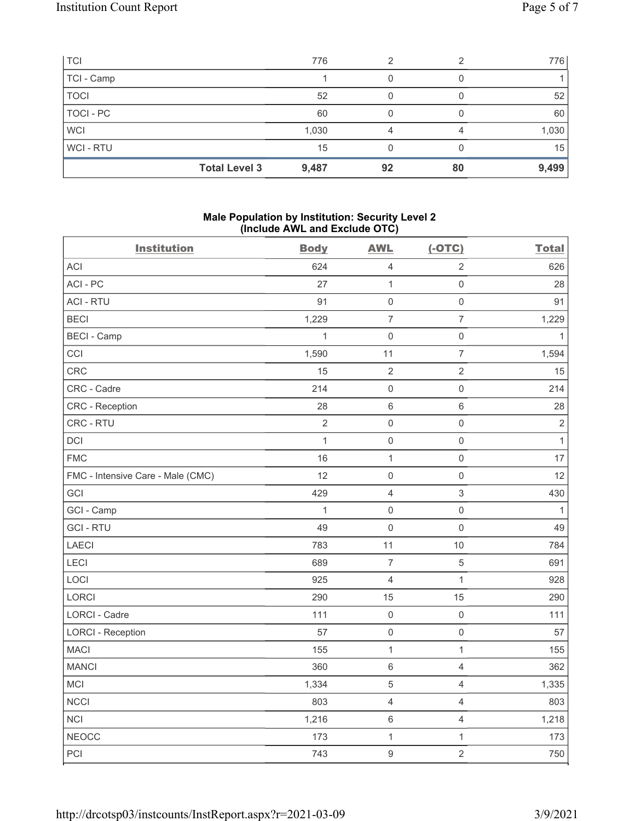| <b>TCI</b>     | 776                           | 2  | ◠  | 776   |
|----------------|-------------------------------|----|----|-------|
| TCI - Camp     |                               |    |    |       |
| <b>TOCI</b>    | 52                            |    |    | 52    |
| TOCI - PC      | 60                            |    |    | 60    |
| <b>WCI</b>     | 1,030                         |    |    | 1,030 |
| <b>WCI-RTU</b> | 15                            |    |    | 15    |
|                | <b>Total Level 3</b><br>9,487 | 92 | 80 | 9,499 |

# Male Population by Institution: Security Level 2 (Include AWL and Exclude OTC)

| <b>Institution</b>                | <b>Body</b>  | <b>AWL</b>     | $(-OTC)$                 | <b>Total</b> |
|-----------------------------------|--------------|----------------|--------------------------|--------------|
| ACI                               | 624          | $\sqrt{4}$     | $\overline{2}$           | 626          |
| ACI-PC                            | 27           | $\mathbf{1}$   | $\mathsf{O}\xspace$      | 28           |
| <b>ACI - RTU</b>                  | 91           | $\mathbf 0$    | $\mathsf{O}\xspace$      | 91           |
| <b>BECI</b>                       | 1,229        | $\overline{7}$ | $\overline{7}$           | 1,229        |
| <b>BECI - Camp</b>                | $\mathbf{1}$ | $\mathsf{O}$   | $\mathsf{O}\xspace$      | $\mathbf{1}$ |
| CCI                               | 1,590        | 11             | $\overline{7}$           | 1,594        |
| CRC                               | 15           | $\sqrt{2}$     | $\overline{2}$           | 15           |
| CRC - Cadre                       | 214          | $\mathbf 0$    | $\mathsf{O}\xspace$      | 214          |
| CRC - Reception                   | 28           | $\,6\,$        | $\,6$                    | 28           |
| CRC - RTU                         | $\sqrt{2}$   | $\mathbf 0$    | $\mathsf{O}\xspace$      | $\sqrt{2}$   |
| <b>DCI</b>                        | 1            | $\mathsf{O}$   | $\mathsf{O}\xspace$      | $\mathbf{1}$ |
| <b>FMC</b>                        | 16           | $\mathbf{1}$   | $\mathsf{O}\xspace$      | 17           |
| FMC - Intensive Care - Male (CMC) | 12           | $\mathbf 0$    | $\mathsf{O}\xspace$      | 12           |
| GCI                               | 429          | $\sqrt{4}$     | 3                        | 430          |
| GCI - Camp                        | 1            | $\mathbf 0$    | $\mathsf{O}\xspace$      | $\mathbf{1}$ |
| <b>GCI-RTU</b>                    | 49           | $\mathbf 0$    | $\mathsf{O}\xspace$      | 49           |
| <b>LAECI</b>                      | 783          | 11             | 10                       | 784          |
| LECI                              | 689          | $\overline{7}$ | $\mathbf 5$              | 691          |
| LOCI                              | 925          | $\overline{4}$ | $\mathbf{1}$             | 928          |
| LORCI                             | 290          | 15             | 15                       | 290          |
| LORCI - Cadre                     | 111          | $\mathbf 0$    | $\mathsf 0$              | 111          |
| <b>LORCI - Reception</b>          | 57           | $\mathsf 0$    | $\mathsf{O}\xspace$      | 57           |
| <b>MACI</b>                       | 155          | $\mathbf{1}$   | $\mathbf{1}$             | 155          |
| <b>MANCI</b>                      | 360          | $\,6\,$        | $\overline{4}$           | 362          |
| MCI                               | 1,334        | $\mathbf 5$    | $\overline{4}$           | 1,335        |
| <b>NCCI</b>                       | 803          | $\sqrt{4}$     | $\overline{4}$           | 803          |
| <b>NCI</b>                        | 1,216        | $\,6\,$        | $\overline{\mathcal{L}}$ | 1,218        |
| <b>NEOCC</b>                      | 173          | $\mathbf{1}$   | $\mathbf{1}$             | 173          |
| PCI                               | 743          | $\overline{9}$ | $\overline{2}$           | 750          |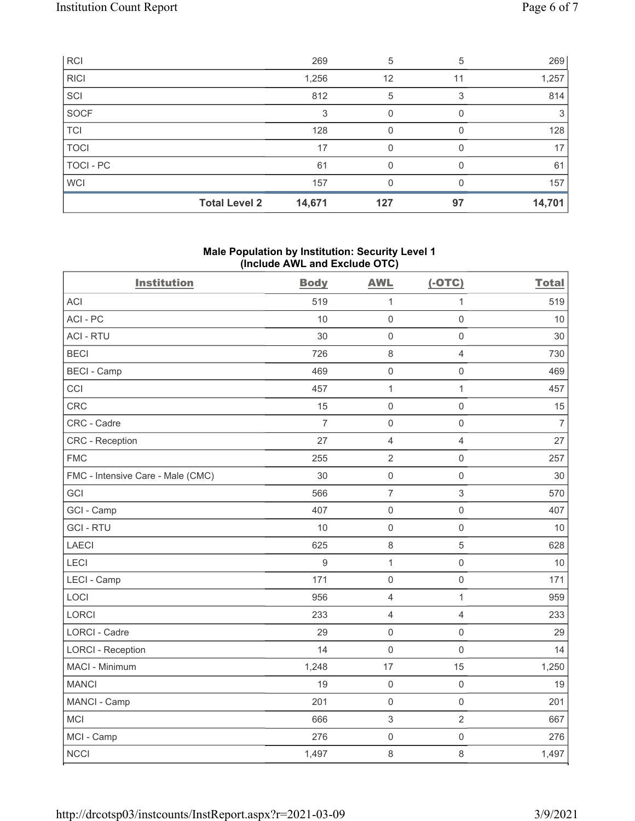| <b>RCI</b>  |                      | 269    | 5   | 5  | 269    |
|-------------|----------------------|--------|-----|----|--------|
| <b>RICI</b> |                      | 1,256  | 12  | 11 | 1,257  |
| SCI         |                      | 812    | 5   | 3  | 814    |
| <b>SOCF</b> |                      | 3      | 0   |    | 3      |
| <b>TCI</b>  |                      | 128    | 0   |    | 128    |
| <b>TOCI</b> |                      | 17     | O   |    | 17     |
| TOCI - PC   |                      | 61     | O   |    | 61     |
| <b>WCI</b>  |                      | 157    |     |    | 157    |
|             | <b>Total Level 2</b> | 14,671 | 127 | 97 | 14,701 |

# Male Population by Institution: Security Level 1 (Include AWL and Exclude OTC)

| <b>Institution</b>                | <b>Body</b>    | <b>AWL</b>          | $(-OTC)$            | <b>Total</b>   |
|-----------------------------------|----------------|---------------------|---------------------|----------------|
| <b>ACI</b>                        | 519            | $\mathbf{1}$        | 1                   | 519            |
| ACI-PC                            | 10             | $\mathsf{O}\xspace$ | $\mathbf 0$         | 10             |
| <b>ACI - RTU</b>                  | 30             | $\mathsf{O}\xspace$ | $\mathsf 0$         | $30\,$         |
| <b>BECI</b>                       | 726            | $\,8\,$             | $\overline{4}$      | 730            |
| <b>BECI - Camp</b>                | 469            | $\mathbf 0$         | $\mathbf 0$         | 469            |
| CCI                               | 457            | $\mathbf{1}$        | $\mathbf{1}$        | 457            |
| <b>CRC</b>                        | 15             | $\mathbf 0$         | $\mathsf{O}\xspace$ | 15             |
| CRC - Cadre                       | $\overline{7}$ | $\mathsf 0$         | $\mathbf 0$         | $\overline{7}$ |
| <b>CRC</b> - Reception            | 27             | $\overline{4}$      | $\overline{4}$      | 27             |
| <b>FMC</b>                        | 255            | $\sqrt{2}$          | $\mathsf{O}\xspace$ | 257            |
| FMC - Intensive Care - Male (CMC) | 30             | $\mathsf 0$         | $\mathbf 0$         | 30             |
| GCI                               | 566            | $\overline{7}$      | $\sqrt{3}$          | 570            |
| GCI - Camp                        | 407            | $\mathsf 0$         | $\mathsf{O}\xspace$ | 407            |
| <b>GCI-RTU</b>                    | 10             | $\mathsf 0$         | $\mathsf{O}\xspace$ | 10             |
| <b>LAECI</b>                      | 625            | $\,8\,$             | 5                   | 628            |
| LECI                              | 9              | $\mathbf{1}$        | $\mathsf{O}\xspace$ | 10             |
| LECI - Camp                       | 171            | $\mathbf 0$         | $\mathbf 0$         | 171            |
| LOCI                              | 956            | $\overline{4}$      | $\mathbf{1}$        | 959            |
| <b>LORCI</b>                      | 233            | $\overline{4}$      | $\overline{4}$      | 233            |
| <b>LORCI - Cadre</b>              | 29             | $\mathbf 0$         | $\mathbf 0$         | 29             |
| <b>LORCI - Reception</b>          | 14             | $\mathsf 0$         | $\mathsf 0$         | 14             |
| MACI - Minimum                    | 1,248          | 17                  | 15                  | 1,250          |
| <b>MANCI</b>                      | 19             | $\mathsf 0$         | $\mathsf{O}\xspace$ | 19             |
| MANCI - Camp                      | 201            | $\mathsf{O}\xspace$ | $\mathsf 0$         | 201            |
| MCI                               | 666            | $\sqrt{3}$          | $\overline{2}$      | 667            |
| MCI - Camp                        | 276            | $\mathbf 0$         | $\mathsf{O}\xspace$ | 276            |
| <b>NCCI</b>                       | 1,497          | $\,8\,$             | $\,8\,$             | 1,497          |